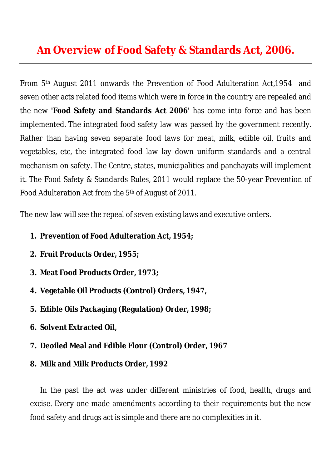# **An Overview of Food Safety & Standards Act, 2006.**

From 5th August 2011 onwards the Prevention of Food Adulteration Act,1954 and seven other acts related food items which were in force in the country are repealed and the new **'Food Safety and Standards Act 2006'** has come into force and has been implemented. The integrated food safety law was passed by the government recently. Rather than having seven separate food laws for meat, milk, edible oil, fruits and vegetables, etc, the integrated food law lay down uniform standards and a central mechanism on safety. The Centre, states, municipalities and panchayats will implement it. The Food Safety & Standards Rules, 2011 would replace the 50-year Prevention of Food Adulteration Act from the 5<sup>th</sup> of August of 2011.

The new law will see the repeal of seven existing laws and executive orders.

- **1. Prevention of Food Adulteration Act, 1954;**
- **2. Fruit Products Order, 1955;**
- **3. Meat Food Products Order, 1973;**
- **4. Vegetable Oil Products (Control) Orders, 1947,**
- **5. Edible Oils Packaging (Regulation) Order, 1998;**
- **6. Solvent Extracted Oil,**
- **7. Deoiled Meal and Edible Flour (Control) Order, 1967**
- **8. Milk and Milk Products Order, 1992**

In the past the act was under different ministries of food, health, drugs and excise. Every one made amendments according to their requirements but the new food safety and drugs act is simple and there are no complexities in it.